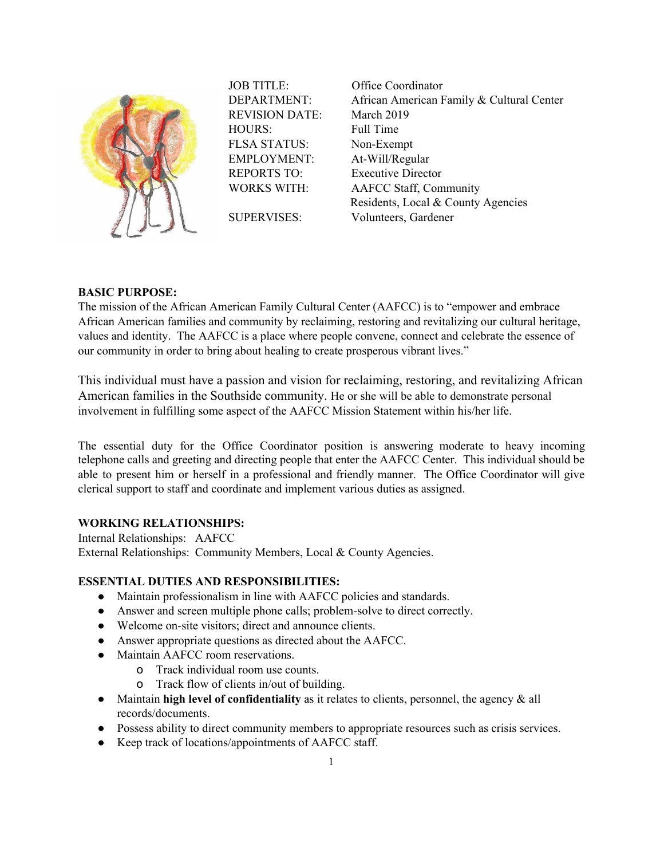

JOB TITLE: Office Coordinator REVISION DATE: March 2019 HOURS: Full Time FLSA STATUS: Non-Exempt EMPLOYMENT: At-Will/Regular

DEPARTMENT: African American Family & Cultural Center REPORTS TO: Executive Director WORKS WITH: AAFCC Staff, Community Residents, Local & County Agencies SUPERVISES: Volunteers, Gardener

## **BASIC PURPOSE:**

The mission of the African American Family Cultural Center (AAFCC) is to "empower and embrace African American families and community by reclaiming, restoring and revitalizing our cultural heritage, values and identity. The AAFCC is a place where people convene, connect and celebrate the essence of our community in order to bring about healing to create prosperous vibrant lives."

This individual must have a passion and vision for reclaiming, restoring, and revitalizing African American families in the Southside community. He or she will be able to demonstrate personal involvement in fulfilling some aspect of the AAFCC Mission Statement within his/her life.

The essential duty for the Office Coordinator position is answering moderate to heavy incoming telephone calls and greeting and directing people that enter the AAFCC Center. This individual should be able to present him or herself in a professional and friendly manner. The Office Coordinator will give clerical support to staff and coordinate and implement various duties as assigned.

## **WORKING RELATIONSHIPS:**

Internal Relationships: AAFCC External Relationships: Community Members, Local & County Agencies.

# **ESSENTIAL DUTIES AND RESPONSIBILITIES:**

- Maintain professionalism in line with AAFCC policies and standards.
- Answer and screen multiple phone calls; problem-solve to direct correctly.
- Welcome on-site visitors; direct and announce clients.
- Answer appropriate questions as directed about the AAFCC.
- Maintain AAFCC room reservations.
	- o Track individual room use counts.
		- o Track flow of clients in/out of building.
- Maintain **high level of confidentiality** as it relates to clients, personnel, the agency & all records/documents.
- Possess ability to direct community members to appropriate resources such as crisis services.
- Keep track of locations/appointments of AAFCC staff.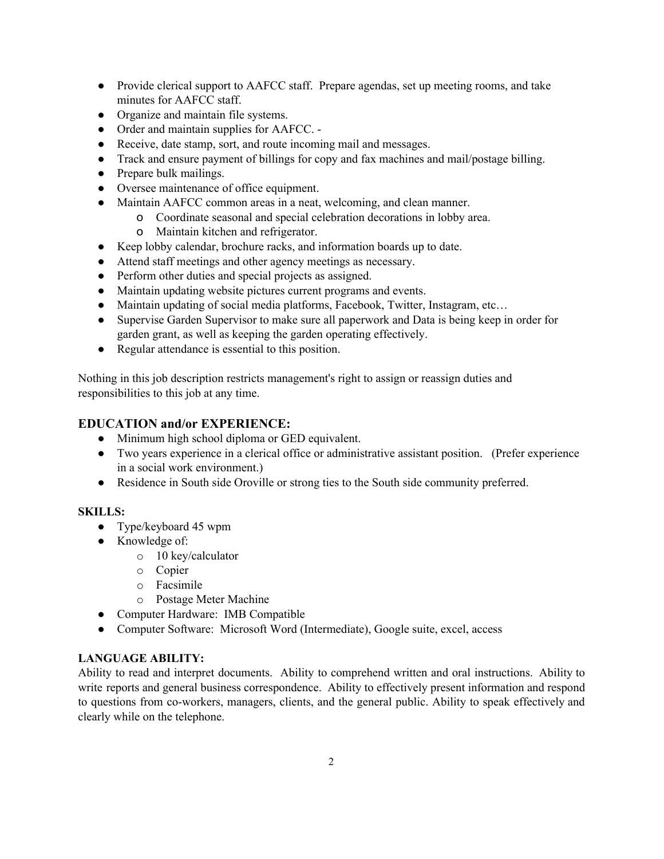- Provide clerical support to AAFCC staff. Prepare agendas, set up meeting rooms, and take minutes for AAFCC staff.
- Organize and maintain file systems.
- Order and maintain supplies for AAFCC. -
- Receive, date stamp, sort, and route incoming mail and messages.
- Track and ensure payment of billings for copy and fax machines and mail/postage billing.
- Prepare bulk mailings.
- Oversee maintenance of office equipment.
- Maintain AAFCC common areas in a neat, welcoming, and clean manner.
	- o Coordinate seasonal and special celebration decorations in lobby area.
	- o Maintain kitchen and refrigerator.
- Keep lobby calendar, brochure racks, and information boards up to date.
- Attend staff meetings and other agency meetings as necessary.
- Perform other duties and special projects as assigned.
- Maintain updating website pictures current programs and events.
- Maintain updating of social media platforms, Facebook, Twitter, Instagram, etc...
- Supervise Garden Supervisor to make sure all paperwork and Data is being keep in order for garden grant, as well as keeping the garden operating effectively.
- Regular attendance is essential to this position.

Nothing in this job description restricts management's right to assign or reassign duties and responsibilities to this job at any time.

# **EDUCATION and/or EXPERIENCE:**

- Minimum high school diploma or GED equivalent.
- Two years experience in a clerical office or administrative assistant position. (Prefer experience in a social work environment.)
- Residence in South side Oroville or strong ties to the South side community preferred.

## **SKILLS:**

- Type/keyboard 45 wpm
- Knowledge of:
	- o 10 key/calculator
	- o Copier
	- o Facsimile
	- o Postage Meter Machine
- Computer Hardware: IMB Compatible
- Computer Software: Microsoft Word (Intermediate), Google suite, excel, access

## **LANGUAGE ABILITY:**

Ability to read and interpret documents. Ability to comprehend written and oral instructions. Ability to write reports and general business correspondence. Ability to effectively present information and respond to questions from co-workers, managers, clients, and the general public. Ability to speak effectively and clearly while on the telephone.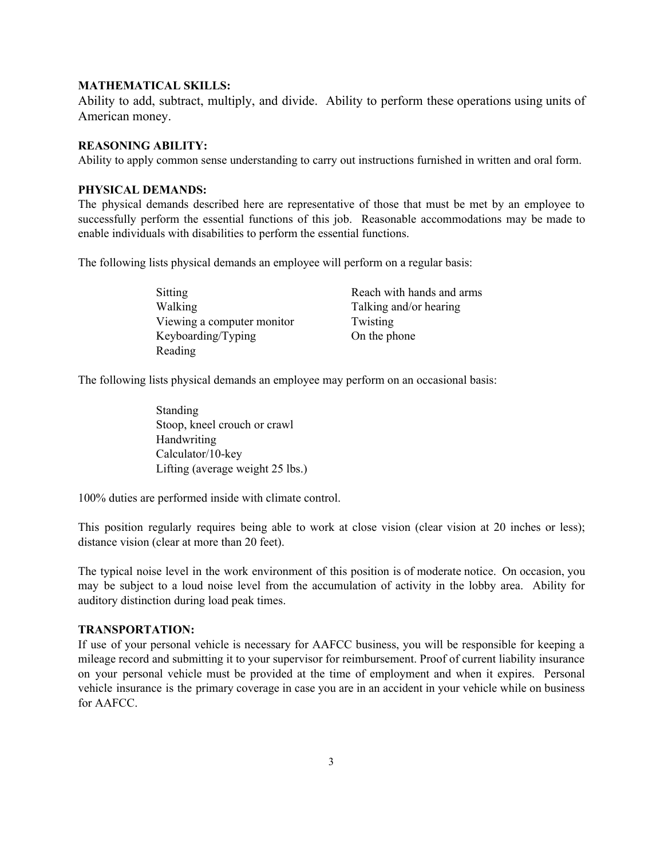#### **MATHEMATICAL SKILLS:**

Ability to add, subtract, multiply, and divide. Ability to perform these operations using units of American money.

#### **REASONING ABILITY:**

Ability to apply common sense understanding to carry out instructions furnished in written and oral form.

#### **PHYSICAL DEMANDS:**

The physical demands described here are representative of those that must be met by an employee to successfully perform the essential functions of this job. Reasonable accommodations may be made to enable individuals with disabilities to perform the essential functions.

The following lists physical demands an employee will perform on a regular basis:

| Sitting                                          |  |
|--------------------------------------------------|--|
| Walking                                          |  |
| Viewing a computer monitor<br>Keyboarding/Typing |  |
|                                                  |  |

Reach with hands and arms Talking and/or hearing Twisting On the phone

The following lists physical demands an employee may perform on an occasional basis:

Standing Stoop, kneel crouch or crawl Handwriting Calculator/10-key Lifting (average weight 25 lbs.)

100% duties are performed inside with climate control.

This position regularly requires being able to work at close vision (clear vision at 20 inches or less); distance vision (clear at more than 20 feet).

The typical noise level in the work environment of this position is of moderate notice. On occasion, you may be subject to a loud noise level from the accumulation of activity in the lobby area. Ability for auditory distinction during load peak times.

#### **TRANSPORTATION:**

If use of your personal vehicle is necessary for AAFCC business, you will be responsible for keeping a mileage record and submitting it to your supervisor for reimbursement. Proof of current liability insurance on your personal vehicle must be provided at the time of employment and when it expires. Personal vehicle insurance is the primary coverage in case you are in an accident in your vehicle while on business for AAFCC.